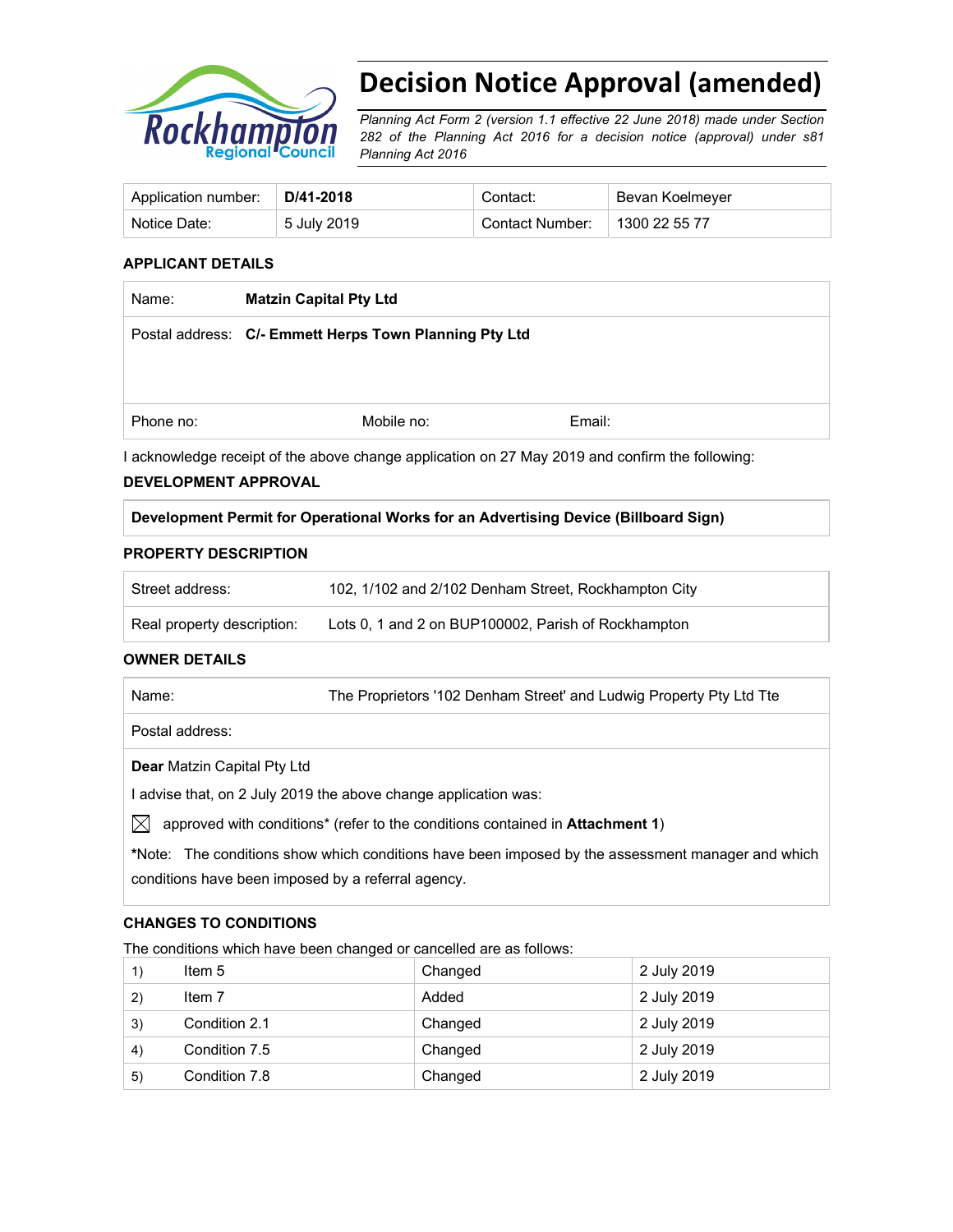

# **Decision Notice Approval (amended)**

*Planning Act Form 2 (version 1.1 effective 22 June 2018) made under Section 282 of the Planning Act 2016 for a decision notice (approval) under s81 Planning Act 2016*

| Application number: | $\mid$ D/41-2018 | Contact:        | Bevan Koelmeyer |
|---------------------|------------------|-----------------|-----------------|
| Notice Date:        | 5 July 2019      | Contact Number: | 1300 22 55 77   |

#### **APPLICANT DETAILS**

| Name:     | <b>Matzin Capital Pty Ltd</b>                          |        |  |
|-----------|--------------------------------------------------------|--------|--|
|           | Postal address: C/- Emmett Herps Town Planning Pty Ltd |        |  |
|           |                                                        |        |  |
|           |                                                        |        |  |
| Phone no: | Mobile no:                                             | Email: |  |

I acknowledge receipt of the above change application on 27 May 2019 and confirm the following:

## **DEVELOPMENT APPROVAL**

## **Development Permit for Operational Works for an Advertising Device (Billboard Sign)**

#### **PROPERTY DESCRIPTION**

| Street address:            | 102, 1/102 and 2/102 Denham Street, Rockhampton City |
|----------------------------|------------------------------------------------------|
| Real property description: | Lots 0, 1 and 2 on BUP100002, Parish of Rockhampton  |

#### **OWNER DETAILS**

| Name:                              | The Proprietors '102 Denham Street' and Ludwig Property Pty Ltd Tte |
|------------------------------------|---------------------------------------------------------------------|
| Postal address:                    |                                                                     |
| <b>Dear</b> Matzin Capital Pty Ltd |                                                                     |

I advise that, on 2 July 2019 the above change application was:

 $\boxtimes$  approved with conditions<sup>\*</sup> (refer to the conditions contained in Attachment 1)

**\***Note:The conditions show which conditions have been imposed by the assessment manager and which conditions have been imposed by a referral agency.

## **CHANGES TO CONDITIONS**

The conditions which have been changed or cancelled are as follows:

|    | Item 5        | Changed | 2 July 2019 |
|----|---------------|---------|-------------|
| 2) | Item 7        | Added   | 2 July 2019 |
| 3) | Condition 2.1 | Changed | 2 July 2019 |
| 4) | Condition 7.5 | Changed | 2 July 2019 |
| 5) | Condition 7.8 | Changed | 2 July 2019 |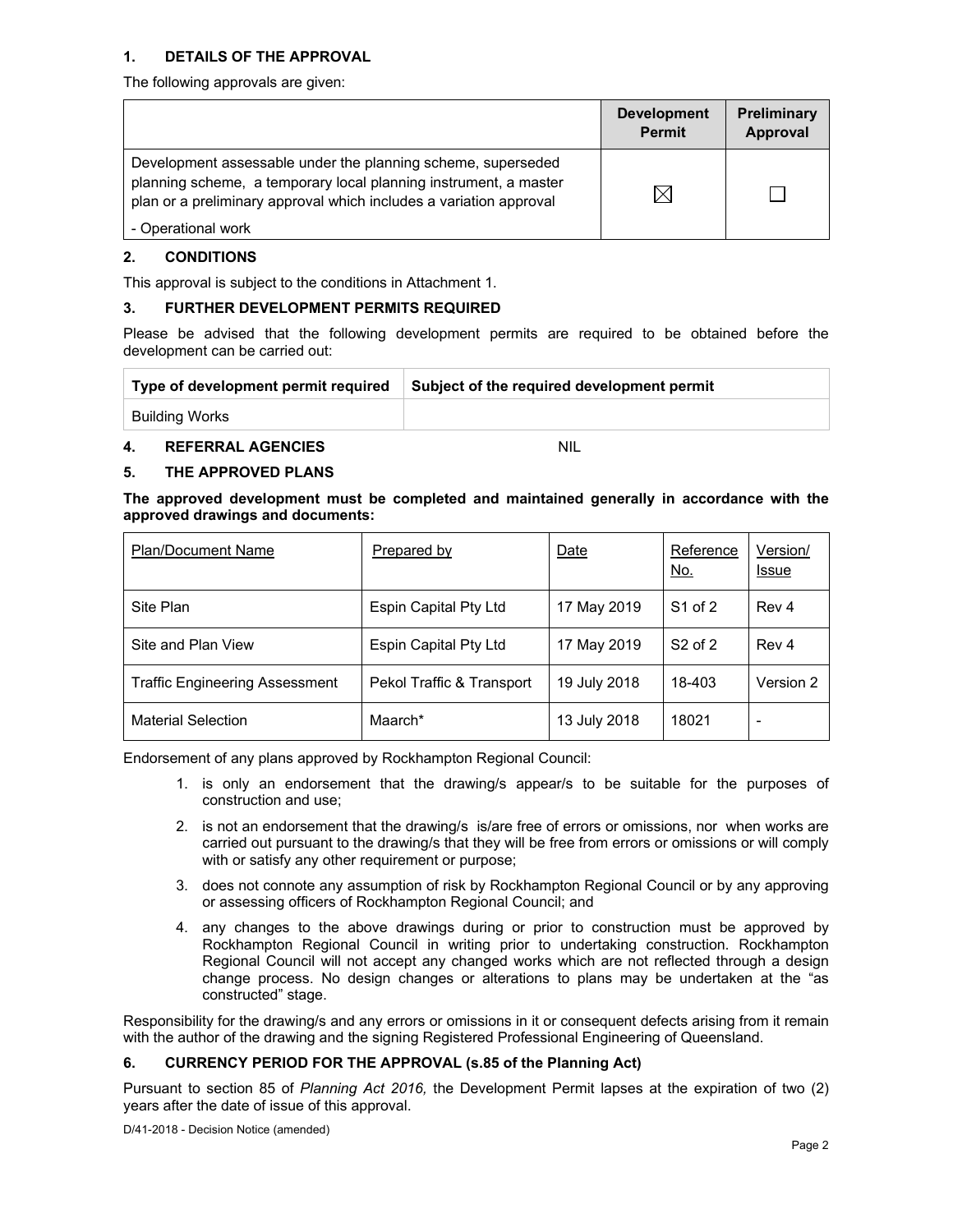#### **1. DETAILS OF THE APPROVAL**

The following approvals are given:

|                                                                                                                                                                                                        | <b>Development</b><br><b>Permit</b> | Preliminary<br>Approval |
|--------------------------------------------------------------------------------------------------------------------------------------------------------------------------------------------------------|-------------------------------------|-------------------------|
| Development assessable under the planning scheme, superseded<br>planning scheme, a temporary local planning instrument, a master<br>plan or a preliminary approval which includes a variation approval |                                     |                         |
| - Operational work                                                                                                                                                                                     |                                     |                         |

#### **2. CONDITIONS**

This approval is subject to the conditions in Attachment 1.

#### **3. FURTHER DEVELOPMENT PERMITS REQUIRED**

Please be advised that the following development permits are required to be obtained before the development can be carried out:

| Type of development permit required | Subject of the required development permit |
|-------------------------------------|--------------------------------------------|
| Building Works                      |                                            |

## **4. REFERRAL AGENCIES** NIL

#### **5. THE APPROVED PLANS**

**The approved development must be completed and maintained generally in accordance with the approved drawings and documents:** 

| <b>Plan/Document Name</b>             | Prepared by               | Date         | Reference<br><u>No.</u> | Version/<br><b>Issue</b> |
|---------------------------------------|---------------------------|--------------|-------------------------|--------------------------|
| Site Plan                             | Espin Capital Pty Ltd     | 17 May 2019  | S1 of 2                 | Rev 4                    |
| Site and Plan View                    | Espin Capital Pty Ltd     | 17 May 2019  | $S2$ of 2               | Rev <sub>4</sub>         |
| <b>Traffic Engineering Assessment</b> | Pekol Traffic & Transport | 19 July 2018 | 18-403                  | Version 2                |
| <b>Material Selection</b>             | Maarch*                   | 13 July 2018 | 18021                   |                          |

Endorsement of any plans approved by Rockhampton Regional Council:

- 1. is only an endorsement that the drawing/s appear/s to be suitable for the purposes of construction and use;
- 2. is not an endorsement that the drawing/s is/are free of errors or omissions, nor when works are carried out pursuant to the drawing/s that they will be free from errors or omissions or will comply with or satisfy any other requirement or purpose;
- 3. does not connote any assumption of risk by Rockhampton Regional Council or by any approving or assessing officers of Rockhampton Regional Council; and
- 4. any changes to the above drawings during or prior to construction must be approved by Rockhampton Regional Council in writing prior to undertaking construction. Rockhampton Regional Council will not accept any changed works which are not reflected through a design change process. No design changes or alterations to plans may be undertaken at the "as constructed" stage.

Responsibility for the drawing/s and any errors or omissions in it or consequent defects arising from it remain with the author of the drawing and the signing Registered Professional Engineering of Queensland.

## **6. CURRENCY PERIOD FOR THE APPROVAL (s.85 of the Planning Act)**

Pursuant to section 85 of *Planning Act 2016,* the Development Permit lapses at the expiration of two (2) years after the date of issue of this approval.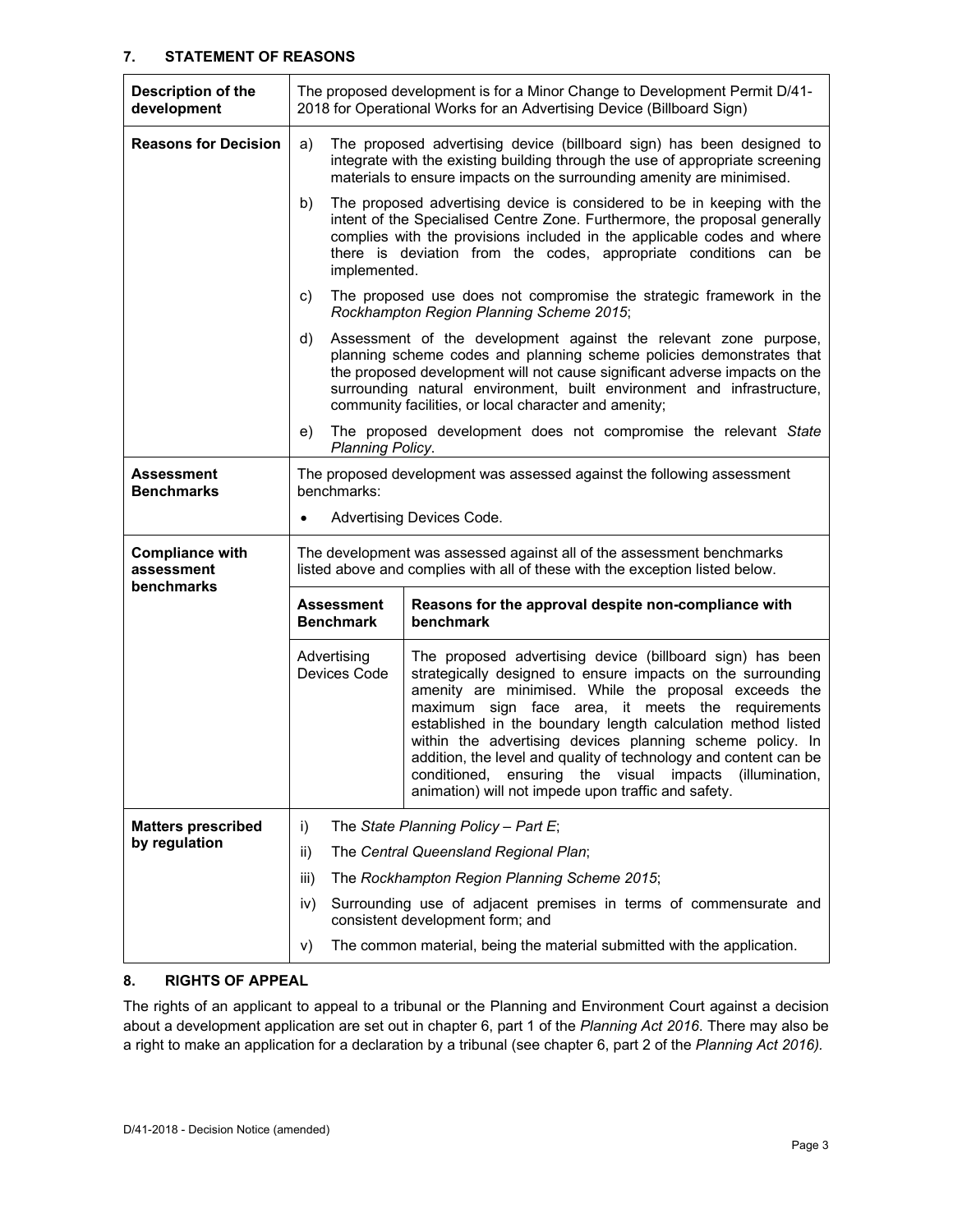#### **7. STATEMENT OF REASONS**

| Description of the<br>development                         | The proposed development is for a Minor Change to Development Permit D/41-<br>2018 for Operational Works for an Advertising Device (Billboard Sign)                                                                                                                                                                                                                                                                                                                                                                                                                                            |                                                                                                                                                                                                                                                                                                                                                           |  |  |  |
|-----------------------------------------------------------|------------------------------------------------------------------------------------------------------------------------------------------------------------------------------------------------------------------------------------------------------------------------------------------------------------------------------------------------------------------------------------------------------------------------------------------------------------------------------------------------------------------------------------------------------------------------------------------------|-----------------------------------------------------------------------------------------------------------------------------------------------------------------------------------------------------------------------------------------------------------------------------------------------------------------------------------------------------------|--|--|--|
| <b>Reasons for Decision</b>                               | The proposed advertising device (billboard sign) has been designed to<br>a)<br>integrate with the existing building through the use of appropriate screening<br>materials to ensure impacts on the surrounding amenity are minimised.                                                                                                                                                                                                                                                                                                                                                          |                                                                                                                                                                                                                                                                                                                                                           |  |  |  |
|                                                           | b)                                                                                                                                                                                                                                                                                                                                                                                                                                                                                                                                                                                             | The proposed advertising device is considered to be in keeping with the<br>intent of the Specialised Centre Zone. Furthermore, the proposal generally<br>complies with the provisions included in the applicable codes and where<br>there is deviation from the codes, appropriate conditions can be<br>implemented.                                      |  |  |  |
|                                                           | C)                                                                                                                                                                                                                                                                                                                                                                                                                                                                                                                                                                                             | The proposed use does not compromise the strategic framework in the<br>Rockhampton Region Planning Scheme 2015;                                                                                                                                                                                                                                           |  |  |  |
|                                                           | d)                                                                                                                                                                                                                                                                                                                                                                                                                                                                                                                                                                                             | Assessment of the development against the relevant zone purpose,<br>planning scheme codes and planning scheme policies demonstrates that<br>the proposed development will not cause significant adverse impacts on the<br>surrounding natural environment, built environment and infrastructure,<br>community facilities, or local character and amenity; |  |  |  |
|                                                           | e)<br>Planning Policy.                                                                                                                                                                                                                                                                                                                                                                                                                                                                                                                                                                         | The proposed development does not compromise the relevant State                                                                                                                                                                                                                                                                                           |  |  |  |
| Assessment<br><b>Benchmarks</b>                           | The proposed development was assessed against the following assessment<br>benchmarks:                                                                                                                                                                                                                                                                                                                                                                                                                                                                                                          |                                                                                                                                                                                                                                                                                                                                                           |  |  |  |
|                                                           | $\bullet$                                                                                                                                                                                                                                                                                                                                                                                                                                                                                                                                                                                      | Advertising Devices Code.                                                                                                                                                                                                                                                                                                                                 |  |  |  |
| <b>Compliance with</b><br>assessment<br><b>benchmarks</b> | The development was assessed against all of the assessment benchmarks<br>listed above and complies with all of these with the exception listed below.                                                                                                                                                                                                                                                                                                                                                                                                                                          |                                                                                                                                                                                                                                                                                                                                                           |  |  |  |
|                                                           | <b>Assessment</b><br><b>Benchmark</b>                                                                                                                                                                                                                                                                                                                                                                                                                                                                                                                                                          | Reasons for the approval despite non-compliance with<br>benchmark                                                                                                                                                                                                                                                                                         |  |  |  |
|                                                           | The proposed advertising device (billboard sign) has been<br>Advertising<br>Devices Code<br>strategically designed to ensure impacts on the surrounding<br>amenity are minimised. While the proposal exceeds the<br>maximum sign face area, it meets the requirements<br>established in the boundary length calculation method listed<br>within the advertising devices planning scheme policy. In<br>addition, the level and quality of technology and content can be<br>the visual impacts<br>(illumination,<br>conditioned, ensuring<br>animation) will not impede upon traffic and safety. |                                                                                                                                                                                                                                                                                                                                                           |  |  |  |
| <b>Matters prescribed</b><br>by regulation                | i)                                                                                                                                                                                                                                                                                                                                                                                                                                                                                                                                                                                             | The State Planning Policy - Part E;                                                                                                                                                                                                                                                                                                                       |  |  |  |
|                                                           | ii)                                                                                                                                                                                                                                                                                                                                                                                                                                                                                                                                                                                            | The Central Queensland Regional Plan;                                                                                                                                                                                                                                                                                                                     |  |  |  |
|                                                           | iii)                                                                                                                                                                                                                                                                                                                                                                                                                                                                                                                                                                                           | The Rockhampton Region Planning Scheme 2015;                                                                                                                                                                                                                                                                                                              |  |  |  |
|                                                           | iv)                                                                                                                                                                                                                                                                                                                                                                                                                                                                                                                                                                                            | Surrounding use of adjacent premises in terms of commensurate and<br>consistent development form; and                                                                                                                                                                                                                                                     |  |  |  |
|                                                           | V)                                                                                                                                                                                                                                                                                                                                                                                                                                                                                                                                                                                             | The common material, being the material submitted with the application.                                                                                                                                                                                                                                                                                   |  |  |  |

### **8. RIGHTS OF APPEAL**

The rights of an applicant to appeal to a tribunal or the Planning and Environment Court against a decision about a development application are set out in chapter 6, part 1 of the *Planning Act 2016*. There may also be a right to make an application for a declaration by a tribunal (see chapter 6, part 2 of the *Planning Act 2016).*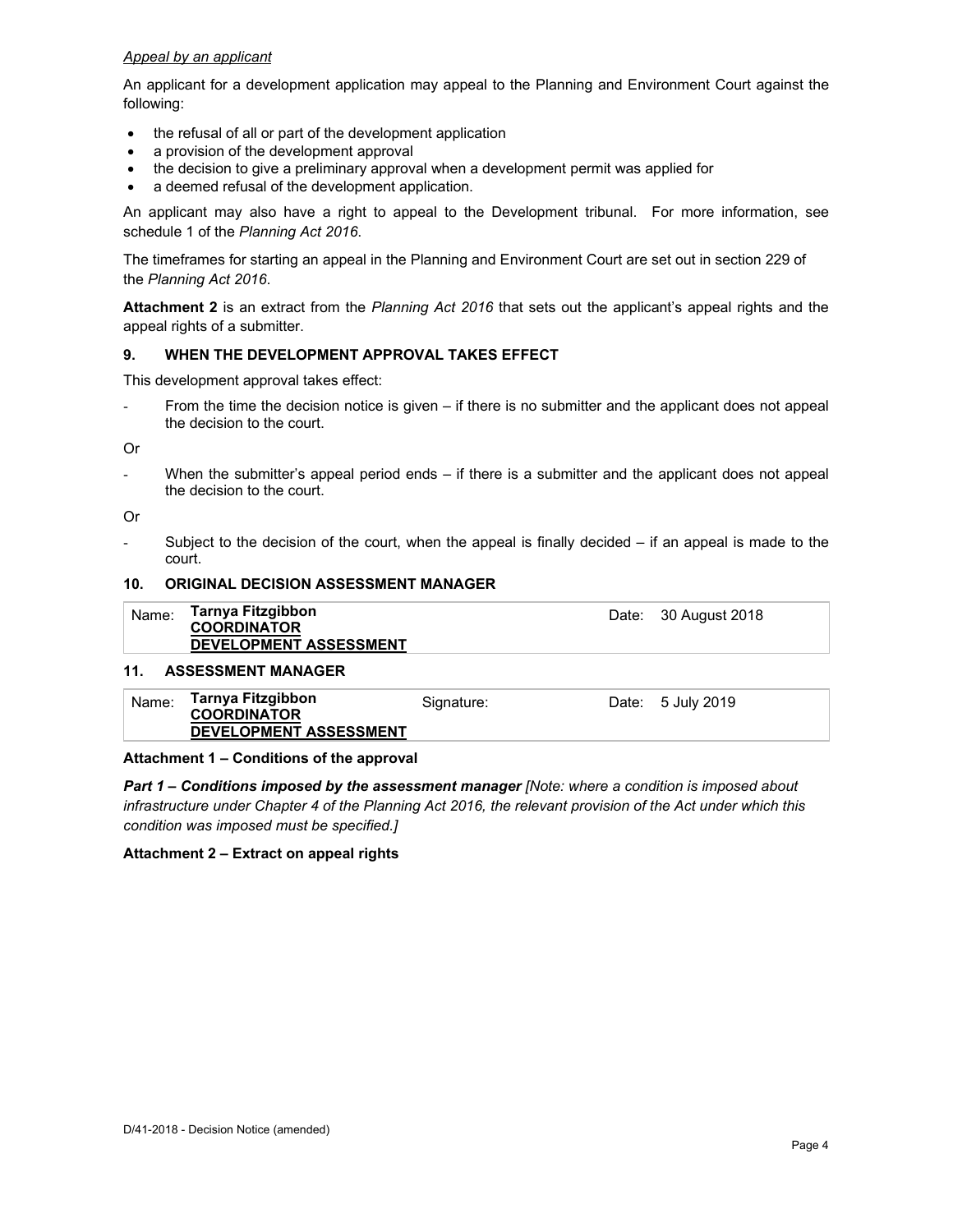#### *Appeal by an applicant*

An applicant for a development application may appeal to the Planning and Environment Court against the following:

- the refusal of all or part of the development application
- a provision of the development approval
- the decision to give a preliminary approval when a development permit was applied for
- a deemed refusal of the development application.

An applicant may also have a right to appeal to the Development tribunal. For more information, see schedule 1 of the *Planning Act 2016*.

The timeframes for starting an appeal in the Planning and Environment Court are set out in section 229 of the *Planning Act 2016*.

**Attachment 2** is an extract from the *Planning Act 2016* that sets out the applicant's appeal rights and the appeal rights of a submitter.

#### **9. WHEN THE DEVELOPMENT APPROVAL TAKES EFFECT**

This development approval takes effect:

From the time the decision notice is given – if there is no submitter and the applicant does not appeal the decision to the court.

Or

- When the submitter's appeal period ends – if there is a submitter and the applicant does not appeal the decision to the court.

Or

Subject to the decision of the court, when the appeal is finally decided  $-$  if an appeal is made to the court.

#### **10. ORIGINAL DECISION ASSESSMENT MANAGER**

| Name: | Tarnya Fitzgibbon<br><b>COORDINATOR</b><br><b>DEVELOPMENT ASSESSMENT</b> | Date: 30 August 2018 |
|-------|--------------------------------------------------------------------------|----------------------|
|       |                                                                          |                      |

### **11. ASSESSMENT MANAGER**

| Name: | Tarnya Fitzgibbon<br><b>COORDINATOR</b> | Signature: | Date: 5 July 2019 |
|-------|-----------------------------------------|------------|-------------------|
|       | <b>DEVELOPMENT ASSESSMENT</b>           |            |                   |

#### **Attachment 1 – Conditions of the approval**

*Part 1* **–** *Conditions imposed by the assessment manager [Note: where a condition is imposed about infrastructure under Chapter 4 of the Planning Act 2016, the relevant provision of the Act under which this condition was imposed must be specified.]*

#### **Attachment 2 – Extract on appeal rights**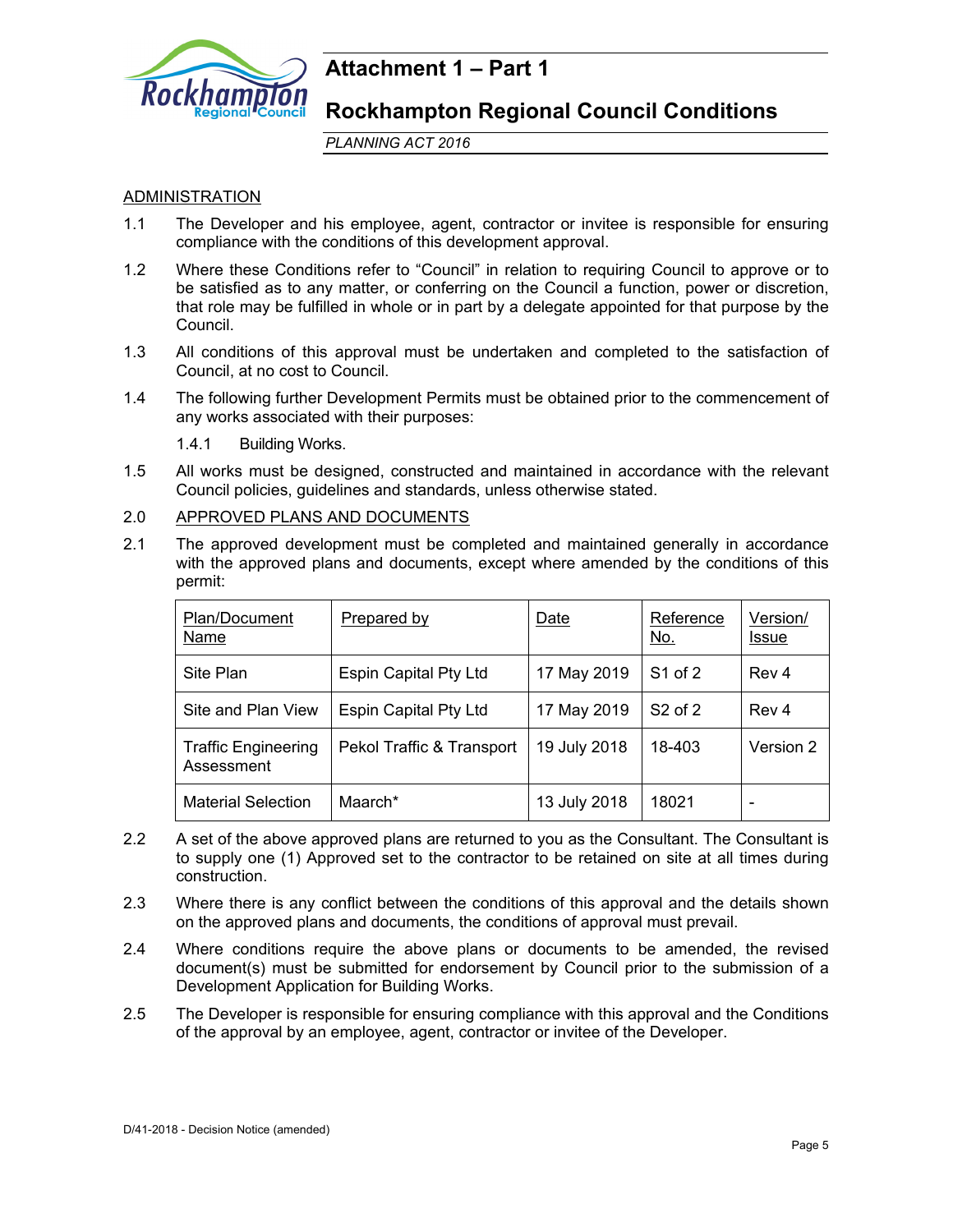

## **Attachment 1 – Part 1**

**Rockhampton Regional Council Conditions** 

*PLANNING ACT 2016*

## ADMINISTRATION

- 1.1 The Developer and his employee, agent, contractor or invitee is responsible for ensuring compliance with the conditions of this development approval.
- 1.2 Where these Conditions refer to "Council" in relation to requiring Council to approve or to be satisfied as to any matter, or conferring on the Council a function, power or discretion, that role may be fulfilled in whole or in part by a delegate appointed for that purpose by the Council.
- 1.3 All conditions of this approval must be undertaken and completed to the satisfaction of Council, at no cost to Council.
- 1.4 The following further Development Permits must be obtained prior to the commencement of any works associated with their purposes:

1.4.1 Building Works.

- 1.5 All works must be designed, constructed and maintained in accordance with the relevant Council policies, guidelines and standards, unless otherwise stated.
- 2.0 APPROVED PLANS AND DOCUMENTS
- 2.1 The approved development must be completed and maintained generally in accordance with the approved plans and documents, except where amended by the conditions of this permit:

| Plan/Document<br>Name                    | Prepared by                  | Date         | Reference<br><u>No.</u> | Version/<br><b>Issue</b> |
|------------------------------------------|------------------------------|--------------|-------------------------|--------------------------|
| Site Plan                                | <b>Espin Capital Pty Ltd</b> | 17 May 2019  | $S1$ of 2               | Rev 4                    |
| Site and Plan View                       | <b>Espin Capital Pty Ltd</b> | 17 May 2019  | $S2$ of 2               | Rev <sub>4</sub>         |
| <b>Traffic Engineering</b><br>Assessment | Pekol Traffic & Transport    | 19 July 2018 | 18-403                  | Version 2                |
| <b>Material Selection</b>                | Maarch*                      | 13 July 2018 | 18021                   |                          |

- 2.2 A set of the above approved plans are returned to you as the Consultant. The Consultant is to supply one (1) Approved set to the contractor to be retained on site at all times during construction.
- 2.3 Where there is any conflict between the conditions of this approval and the details shown on the approved plans and documents, the conditions of approval must prevail.
- 2.4 Where conditions require the above plans or documents to be amended, the revised document(s) must be submitted for endorsement by Council prior to the submission of a Development Application for Building Works.
- 2.5 The Developer is responsible for ensuring compliance with this approval and the Conditions of the approval by an employee, agent, contractor or invitee of the Developer.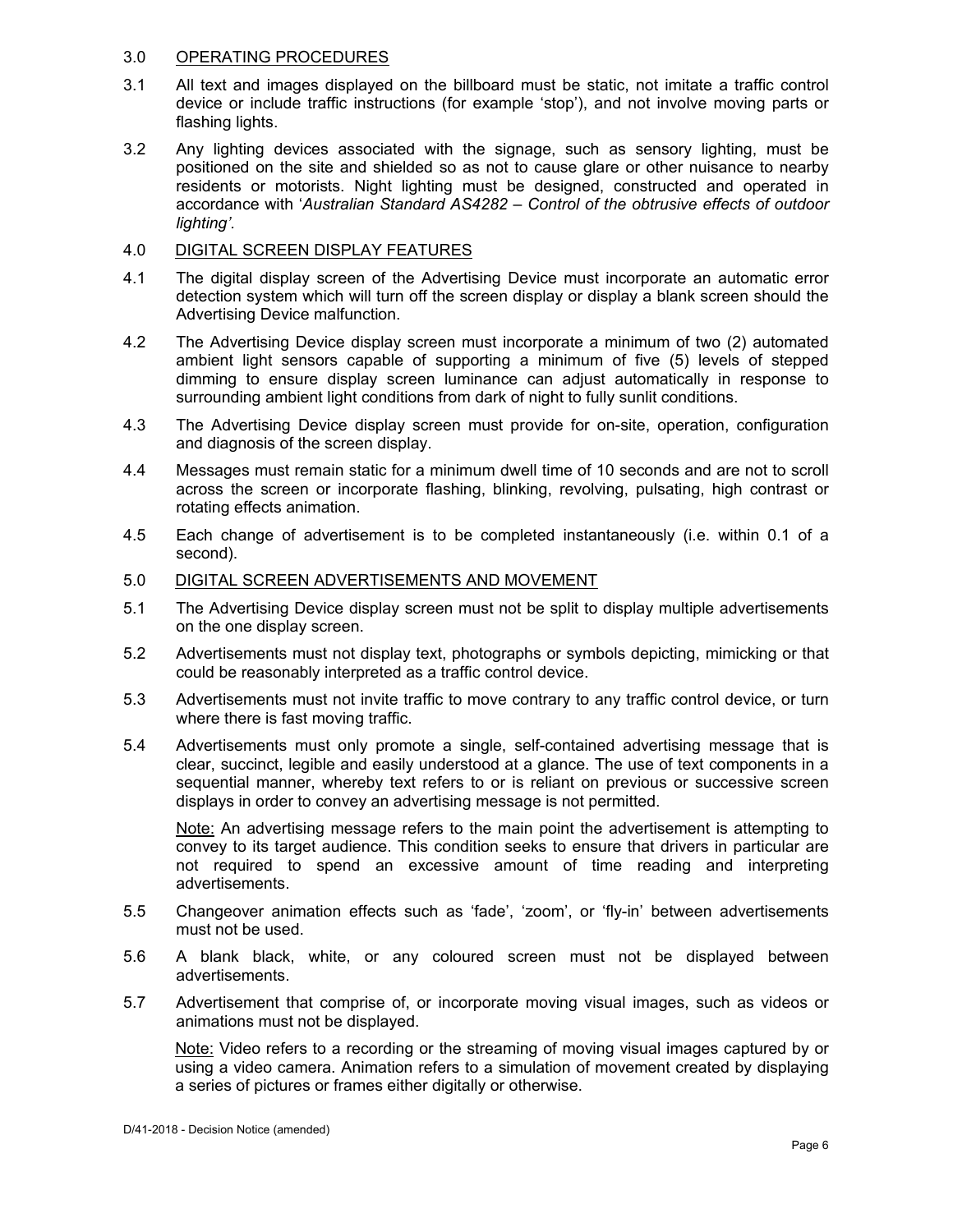#### 3.0 OPERATING PROCEDURES

- 3.1 All text and images displayed on the billboard must be static, not imitate a traffic control device or include traffic instructions (for example 'stop'), and not involve moving parts or flashing lights.
- 3.2 Any lighting devices associated with the signage, such as sensory lighting, must be positioned on the site and shielded so as not to cause glare or other nuisance to nearby residents or motorists. Night lighting must be designed, constructed and operated in accordance with '*Australian Standard AS4282 – Control of the obtrusive effects of outdoor lighting'.*

## 4.0 DIGITAL SCREEN DISPLAY FEATURES

- 4.1 The digital display screen of the Advertising Device must incorporate an automatic error detection system which will turn off the screen display or display a blank screen should the Advertising Device malfunction.
- 4.2 The Advertising Device display screen must incorporate a minimum of two (2) automated ambient light sensors capable of supporting a minimum of five (5) levels of stepped dimming to ensure display screen luminance can adjust automatically in response to surrounding ambient light conditions from dark of night to fully sunlit conditions.
- 4.3 The Advertising Device display screen must provide for on-site, operation, configuration and diagnosis of the screen display.
- 4.4 Messages must remain static for a minimum dwell time of 10 seconds and are not to scroll across the screen or incorporate flashing, blinking, revolving, pulsating, high contrast or rotating effects animation.
- 4.5 Each change of advertisement is to be completed instantaneously (i.e. within 0.1 of a second).
- 5.0 DIGITAL SCREEN ADVERTISEMENTS AND MOVEMENT
- 5.1 The Advertising Device display screen must not be split to display multiple advertisements on the one display screen.
- 5.2 Advertisements must not display text, photographs or symbols depicting, mimicking or that could be reasonably interpreted as a traffic control device.
- 5.3 Advertisements must not invite traffic to move contrary to any traffic control device, or turn where there is fast moving traffic.
- 5.4 Advertisements must only promote a single, self-contained advertising message that is clear, succinct, legible and easily understood at a glance. The use of text components in a sequential manner, whereby text refers to or is reliant on previous or successive screen displays in order to convey an advertising message is not permitted.

Note: An advertising message refers to the main point the advertisement is attempting to convey to its target audience. This condition seeks to ensure that drivers in particular are not required to spend an excessive amount of time reading and interpreting advertisements.

- 5.5 Changeover animation effects such as 'fade', 'zoom', or 'fly-in' between advertisements must not be used.
- 5.6 A blank black, white, or any coloured screen must not be displayed between advertisements.
- 5.7 Advertisement that comprise of, or incorporate moving visual images, such as videos or animations must not be displayed.

 Note: Video refers to a recording or the streaming of moving visual images captured by or using a video camera. Animation refers to a simulation of movement created by displaying a series of pictures or frames either digitally or otherwise.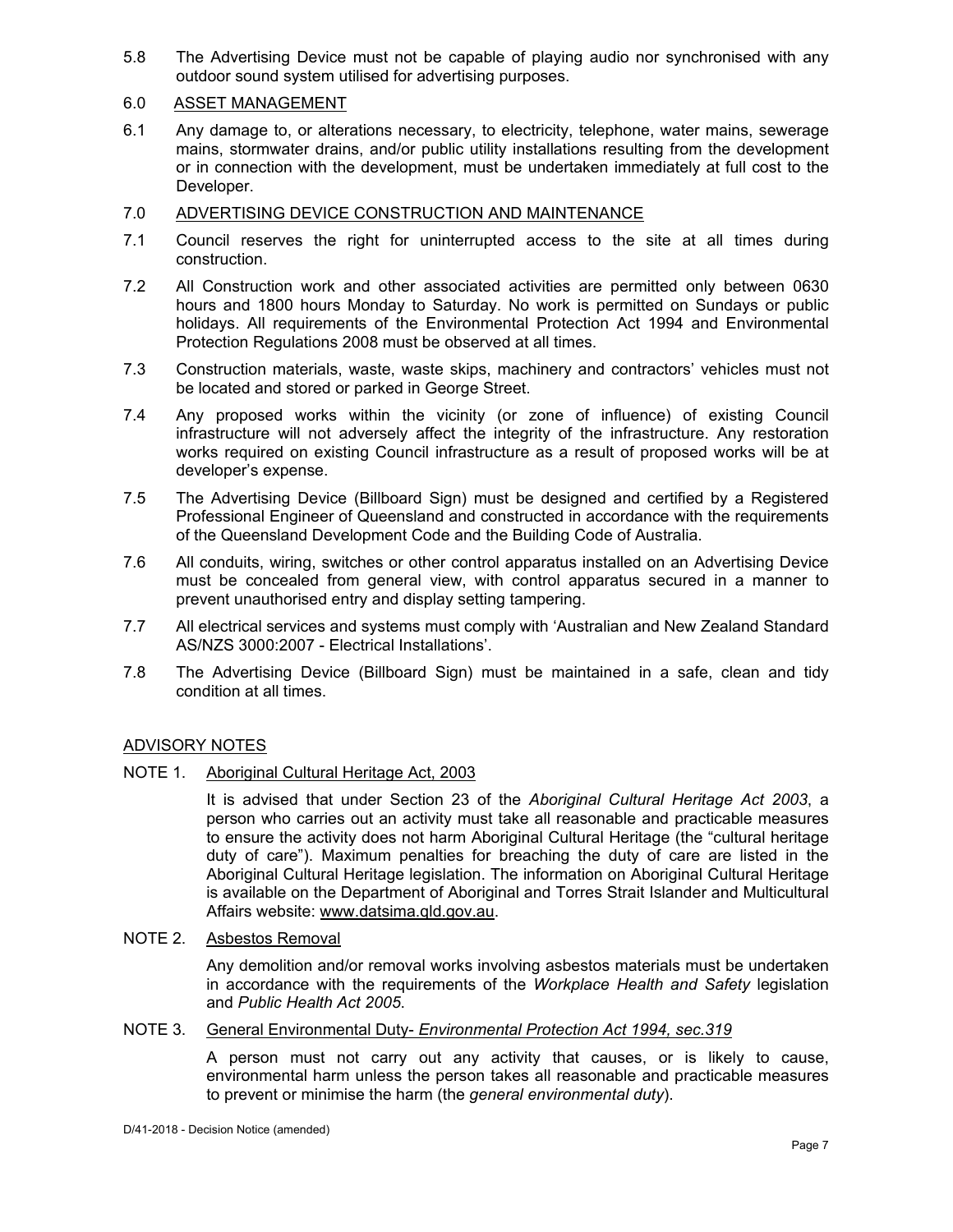5.8 The Advertising Device must not be capable of playing audio nor synchronised with any outdoor sound system utilised for advertising purposes.

## 6.0 ASSET MANAGEMENT

6.1 Any damage to, or alterations necessary, to electricity, telephone, water mains, sewerage mains, stormwater drains, and/or public utility installations resulting from the development or in connection with the development, must be undertaken immediately at full cost to the Developer.

## 7.0 ADVERTISING DEVICE CONSTRUCTION AND MAINTENANCE

- 7.1 Council reserves the right for uninterrupted access to the site at all times during construction.
- 7.2 All Construction work and other associated activities are permitted only between 0630 hours and 1800 hours Monday to Saturday. No work is permitted on Sundays or public holidays. All requirements of the Environmental Protection Act 1994 and Environmental Protection Regulations 2008 must be observed at all times.
- 7.3 Construction materials, waste, waste skips, machinery and contractors' vehicles must not be located and stored or parked in George Street.
- 7.4 Any proposed works within the vicinity (or zone of influence) of existing Council infrastructure will not adversely affect the integrity of the infrastructure. Any restoration works required on existing Council infrastructure as a result of proposed works will be at developer's expense.
- 7.5 The Advertising Device (Billboard Sign) must be designed and certified by a Registered Professional Engineer of Queensland and constructed in accordance with the requirements of the Queensland Development Code and the Building Code of Australia.
- 7.6 All conduits, wiring, switches or other control apparatus installed on an Advertising Device must be concealed from general view, with control apparatus secured in a manner to prevent unauthorised entry and display setting tampering.
- 7.7 All electrical services and systems must comply with 'Australian and New Zealand Standard AS/NZS 3000:2007 - Electrical Installations'.
- 7.8 The Advertising Device (Billboard Sign) must be maintained in a safe, clean and tidy condition at all times.

## ADVISORY NOTES

#### NOTE 1. Aboriginal Cultural Heritage Act, 2003

It is advised that under Section 23 of the *Aboriginal Cultural Heritage Act 2003*, a person who carries out an activity must take all reasonable and practicable measures to ensure the activity does not harm Aboriginal Cultural Heritage (the "cultural heritage duty of care"). Maximum penalties for breaching the duty of care are listed in the Aboriginal Cultural Heritage legislation. The information on Aboriginal Cultural Heritage is available on the Department of Aboriginal and Torres Strait Islander and Multicultural Affairs website: www.datsima.qld.gov.au.

#### NOTE 2. Asbestos Removal

Any demolition and/or removal works involving asbestos materials must be undertaken in accordance with the requirements of the *Workplace Health and Safety* legislation and *Public Health Act 2005*.

#### NOTE 3. General Environmental Duty- *Environmental Protection Act 1994, sec.319*

A person must not carry out any activity that causes, or is likely to cause, environmental harm unless the person takes all reasonable and practicable measures to prevent or minimise the harm (the *general environmental duty*).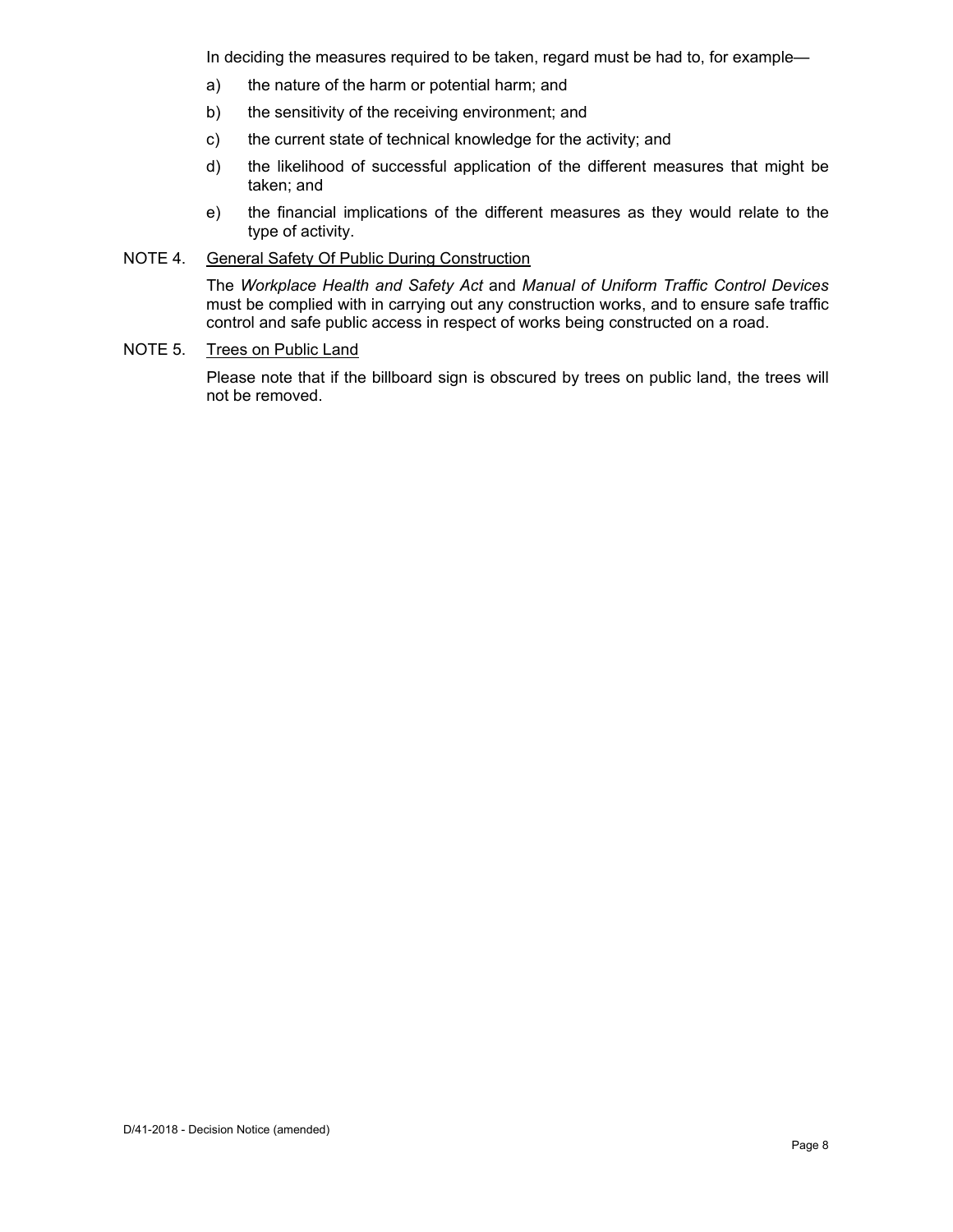In deciding the measures required to be taken, regard must be had to, for example—

- a) the nature of the harm or potential harm; and
- b) the sensitivity of the receiving environment; and
- c) the current state of technical knowledge for the activity; and
- d) the likelihood of successful application of the different measures that might be taken; and
- e) the financial implications of the different measures as they would relate to the type of activity.

### NOTE 4. General Safety Of Public During Construction

The *Workplace Health and Safety Act* and *Manual of Uniform Traffic Control Devices* must be complied with in carrying out any construction works, and to ensure safe traffic control and safe public access in respect of works being constructed on a road.

### NOTE 5. Trees on Public Land

Please note that if the billboard sign is obscured by trees on public land, the trees will not be removed.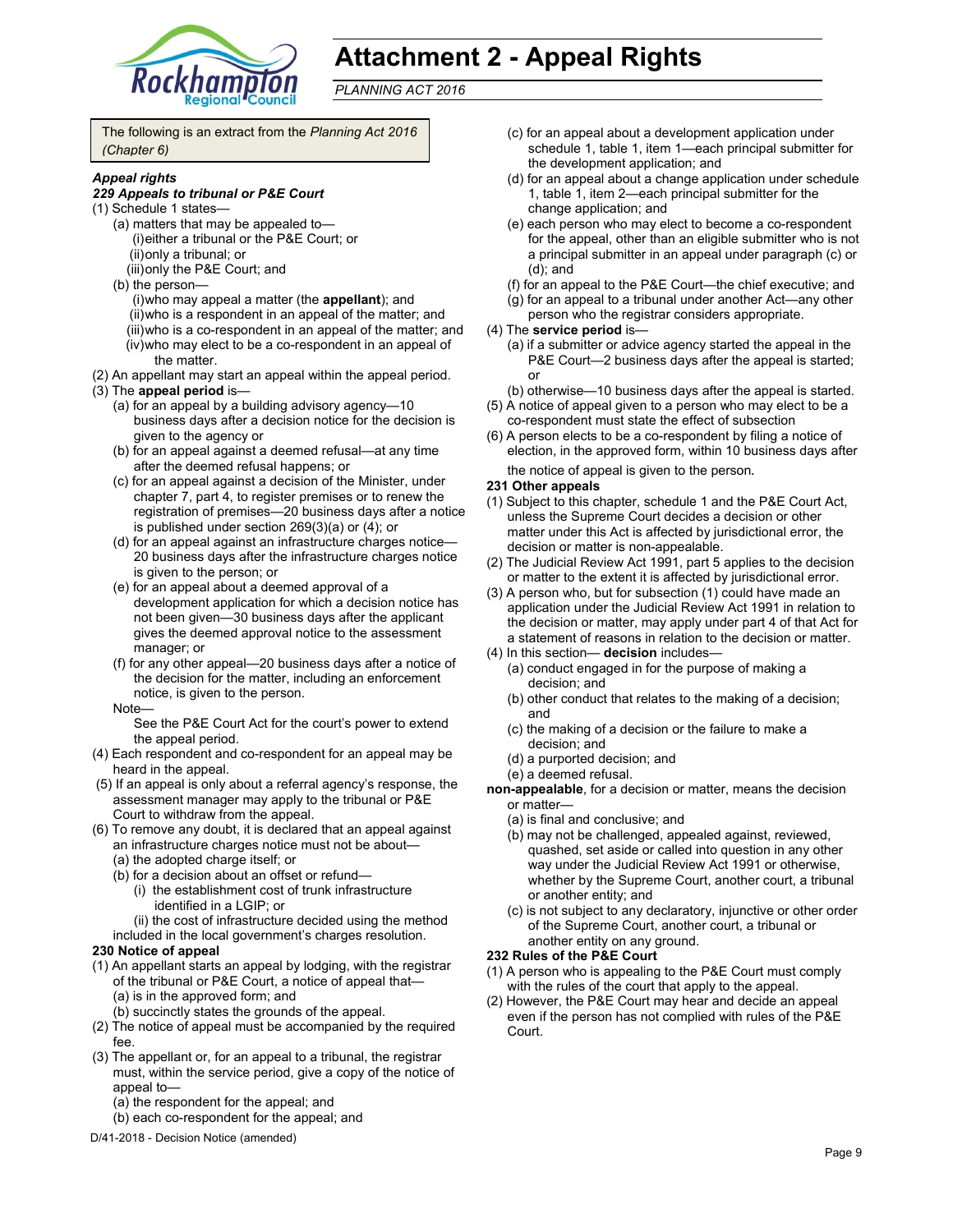

# **Attachment 2 - Appeal Rights**

*PLANNING ACT 2016*

The following is an extract from the *Planning Act 2016 (Chapter 6)*

#### *Appeal rights*

#### *229 Appeals to tribunal or P&E Court*

- (1) Schedule 1 states—
	- (a) matters that may be appealed to— (i) either a tribunal or the P&E Court; or (ii) only a tribunal; or (iii) only the P&E Court; and
	- (b) the person—
		- (i) who may appeal a matter (the **appellant**); and (ii) who is a respondent in an appeal of the matter; and (iii) who is a co-respondent in an appeal of the matter; and (iv) who may elect to be a co-respondent in an appeal of the matter.
- (2) An appellant may start an appeal within the appeal period.

#### (3) The **appeal period** is—

- (a) for an appeal by a building advisory agency—10 business days after a decision notice for the decision is given to the agency or
- (b) for an appeal against a deemed refusal—at any time after the deemed refusal happens; or
- (c) for an appeal against a decision of the Minister, under chapter 7, part 4, to register premises or to renew the registration of premises—20 business days after a notice is published under section 269(3)(a) or (4); or
- (d) for an appeal against an infrastructure charges notice— 20 business days after the infrastructure charges notice is given to the person; or
- (e) for an appeal about a deemed approval of a development application for which a decision notice has not been given—30 business days after the applicant gives the deemed approval notice to the assessment manager; or
- (f) for any other appeal—20 business days after a notice of the decision for the matter, including an enforcement notice, is given to the person.
- Note—

See the P&E Court Act for the court's power to extend the appeal period.

- (4) Each respondent and co-respondent for an appeal may be heard in the appeal.
- (5) If an appeal is only about a referral agency's response, the assessment manager may apply to the tribunal or P&E Court to withdraw from the appeal.
- (6) To remove any doubt, it is declared that an appeal against an infrastructure charges notice must not be about—
	- (a) the adopted charge itself; or
	- (b) for a decision about an offset or refund— (i) the establishment cost of trunk infrastructure
		- identified in a LGIP; or

(ii) the cost of infrastructure decided using the method included in the local government's charges resolution.

#### **230 Notice of appeal**

(1) An appellant starts an appeal by lodging, with the registrar of the tribunal or P&E Court, a notice of appeal that— (a) is in the approved form; and

(b) succinctly states the grounds of the appeal.

- (2) The notice of appeal must be accompanied by the required fee.
- (3) The appellant or, for an appeal to a tribunal, the registrar must, within the service period, give a copy of the notice of appeal to—
	- (a) the respondent for the appeal; and
	- (b) each co-respondent for the appeal; and
- D/41-2018 Decision Notice (amended)
- (c) for an appeal about a development application under schedule 1, table 1, item 1—each principal submitter for the development application; and
- (d) for an appeal about a change application under schedule 1, table 1, item 2—each principal submitter for the change application; and
- (e) each person who may elect to become a co-respondent for the appeal, other than an eligible submitter who is not a principal submitter in an appeal under paragraph (c) or (d); and
- (f) for an appeal to the P&E Court—the chief executive; and
- (g) for an appeal to a tribunal under another Act—any other
- person who the registrar considers appropriate.

#### (4) The **service period** is—

- (a) if a submitter or advice agency started the appeal in the P&E Court—2 business days after the appeal is started; or
- (b) otherwise—10 business days after the appeal is started.
- (5) A notice of appeal given to a person who may elect to be a co-respondent must state the effect of subsection
- (6) A person elects to be a co-respondent by filing a notice of election, in the approved form, within 10 business days after the notice of appeal is given to the person*.*

#### **231 Other appeals**

- (1) Subject to this chapter, schedule 1 and the P&E Court Act, unless the Supreme Court decides a decision or other matter under this Act is affected by jurisdictional error, the decision or matter is non-appealable.
- (2) The Judicial Review Act 1991, part 5 applies to the decision or matter to the extent it is affected by jurisdictional error.
- (3) A person who, but for subsection (1) could have made an application under the Judicial Review Act 1991 in relation to the decision or matter, may apply under part 4 of that Act for a statement of reasons in relation to the decision or matter.
- (4) In this section— **decision** includes—
	- (a) conduct engaged in for the purpose of making a decision; and
	- (b) other conduct that relates to the making of a decision; and
	- (c) the making of a decision or the failure to make a decision; and
	- (d) a purported decision; and
	- (e) a deemed refusal.

**non-appealable**, for a decision or matter, means the decision or matter—

- (a) is final and conclusive; and
- (b) may not be challenged, appealed against, reviewed, quashed, set aside or called into question in any other way under the Judicial Review Act 1991 or otherwise, whether by the Supreme Court, another court, a tribunal or another entity; and
- (c) is not subject to any declaratory, injunctive or other order of the Supreme Court, another court, a tribunal or another entity on any ground.

#### **232 Rules of the P&E Court**

- (1) A person who is appealing to the P&E Court must comply with the rules of the court that apply to the appeal.
- (2) However, the P&E Court may hear and decide an appeal even if the person has not complied with rules of the P&E Court.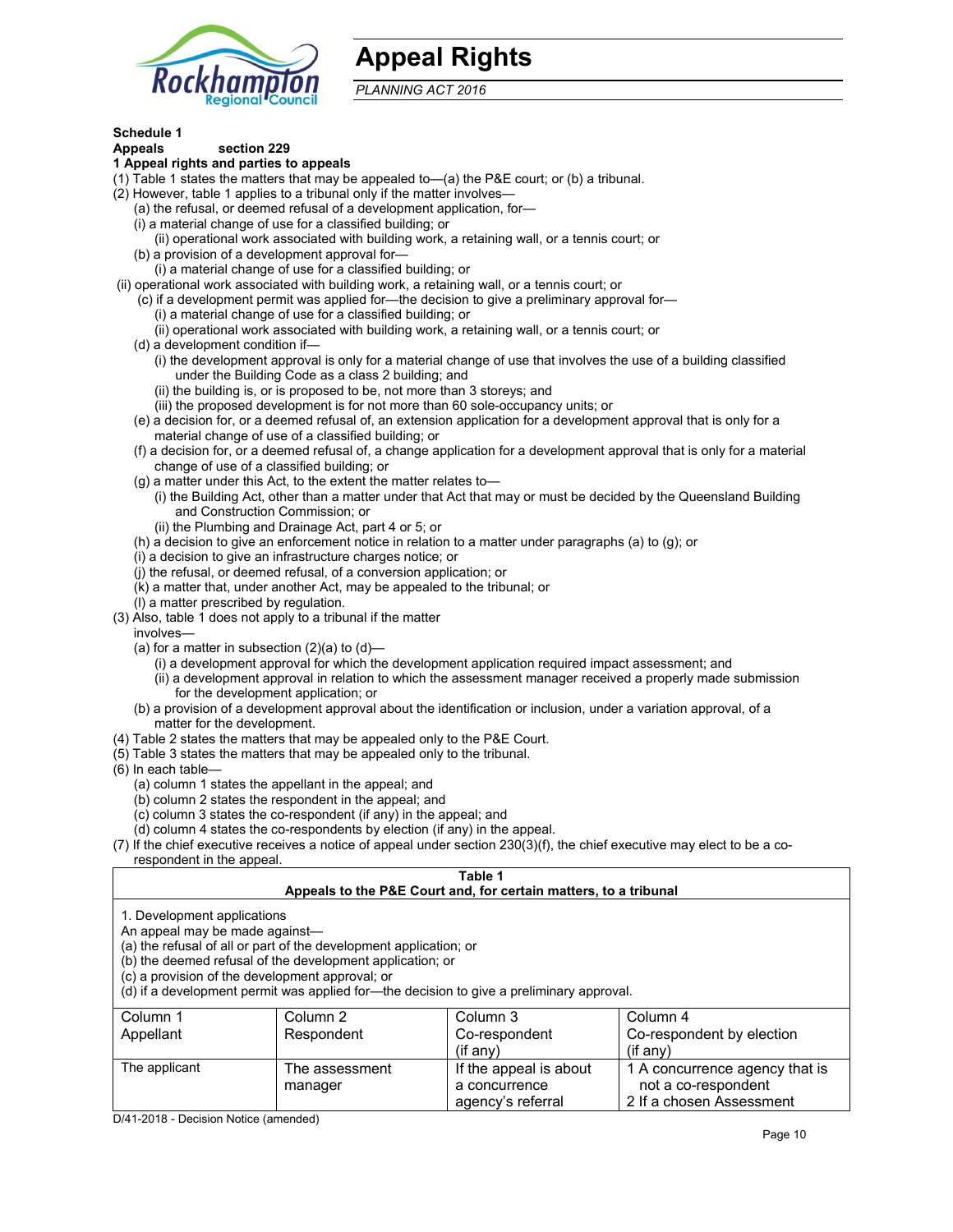

## **Appeal Rights**

*PLANNING ACT 2016*

#### **Schedule 1 Appeals section 229**

## **1 Appeal rights and parties to appeals**

- (1) Table 1 states the matters that may be appealed to—(a) the P&E court; or (b) a tribunal.
- (2) However, table 1 applies to a tribunal only if the matter involves—
	- (a) the refusal, or deemed refusal of a development application, for—
	- (i) a material change of use for a classified building; or
	- (ii) operational work associated with building work, a retaining wall, or a tennis court; or
	- (b) a provision of a development approval for—
	- (i) a material change of use for a classified building; or
- (ii) operational work associated with building work, a retaining wall, or a tennis court; or
	- (c) if a development permit was applied for—the decision to give a preliminary approval for—
		- (i) a material change of use for a classified building; or
		- (ii) operational work associated with building work, a retaining wall, or a tennis court; or
	- (d) a development condition if—
		- (i) the development approval is only for a material change of use that involves the use of a building classified under the Building Code as a class 2 building; and
		- (ii) the building is, or is proposed to be, not more than 3 storeys; and
		- (iii) the proposed development is for not more than 60 sole-occupancy units; or
	- (e) a decision for, or a deemed refusal of, an extension application for a development approval that is only for a material change of use of a classified building; or
	- (f) a decision for, or a deemed refusal of, a change application for a development approval that is only for a material change of use of a classified building; or
	- (g) a matter under this Act, to the extent the matter relates to—
		- (i) the Building Act, other than a matter under that Act that may or must be decided by the Queensland Building and Construction Commission; or
		- (ii) the Plumbing and Drainage Act, part 4 or 5; or
	- (h) a decision to give an enforcement notice in relation to a matter under paragraphs (a) to (g); or
	- (i) a decision to give an infrastructure charges notice; or
	- (j) the refusal, or deemed refusal, of a conversion application; or
	- (k) a matter that, under another Act, may be appealed to the tribunal; or
	- (l) a matter prescribed by regulation.
- (3) Also, table 1 does not apply to a tribunal if the matter
- involves—
	- (a) for a matter in subsection  $(2)(a)$  to  $(d)$ 
		- (i) a development approval for which the development application required impact assessment; and
		- (ii) a development approval in relation to which the assessment manager received a properly made submission for the development application; or
	- (b) a provision of a development approval about the identification or inclusion, under a variation approval, of a matter for the development.
- (4) Table 2 states the matters that may be appealed only to the P&E Court.
- (5) Table 3 states the matters that may be appealed only to the tribunal.
- (6) In each table—
	- (a) column 1 states the appellant in the appeal; and
	- (b) column 2 states the respondent in the appeal; and
	- (c) column 3 states the co-respondent (if any) in the appeal; and
	- (d) column 4 states the co-respondents by election (if any) in the appeal.
- (7) If the chief executive receives a notice of appeal under section 230(3)(f), the chief executive may elect to be a corespondent in the appeal.

## **Table 1**

## **Appeals to the P&E Court and, for certain matters, to a tribunal**

1. Development applications

An appeal may be made against—

(a) the refusal of all or part of the development application; or

(b) the deemed refusal of the development application; or

(c) a provision of the development approval; or

(d) if a development permit was applied for—the decision to give a preliminary approval.

| Column 1      | Column 2       | Column 3               | Column 4                       |
|---------------|----------------|------------------------|--------------------------------|
| Appellant     | Respondent     | Co-respondent          | Co-respondent by election      |
|               |                | (i f an y)             | $($ if any $)$                 |
| The applicant | The assessment | If the appeal is about | 1 A concurrence agency that is |
|               | manager        | a concurrence          | not a co-respondent            |
|               |                | agency's referral      | 2 If a chosen Assessment       |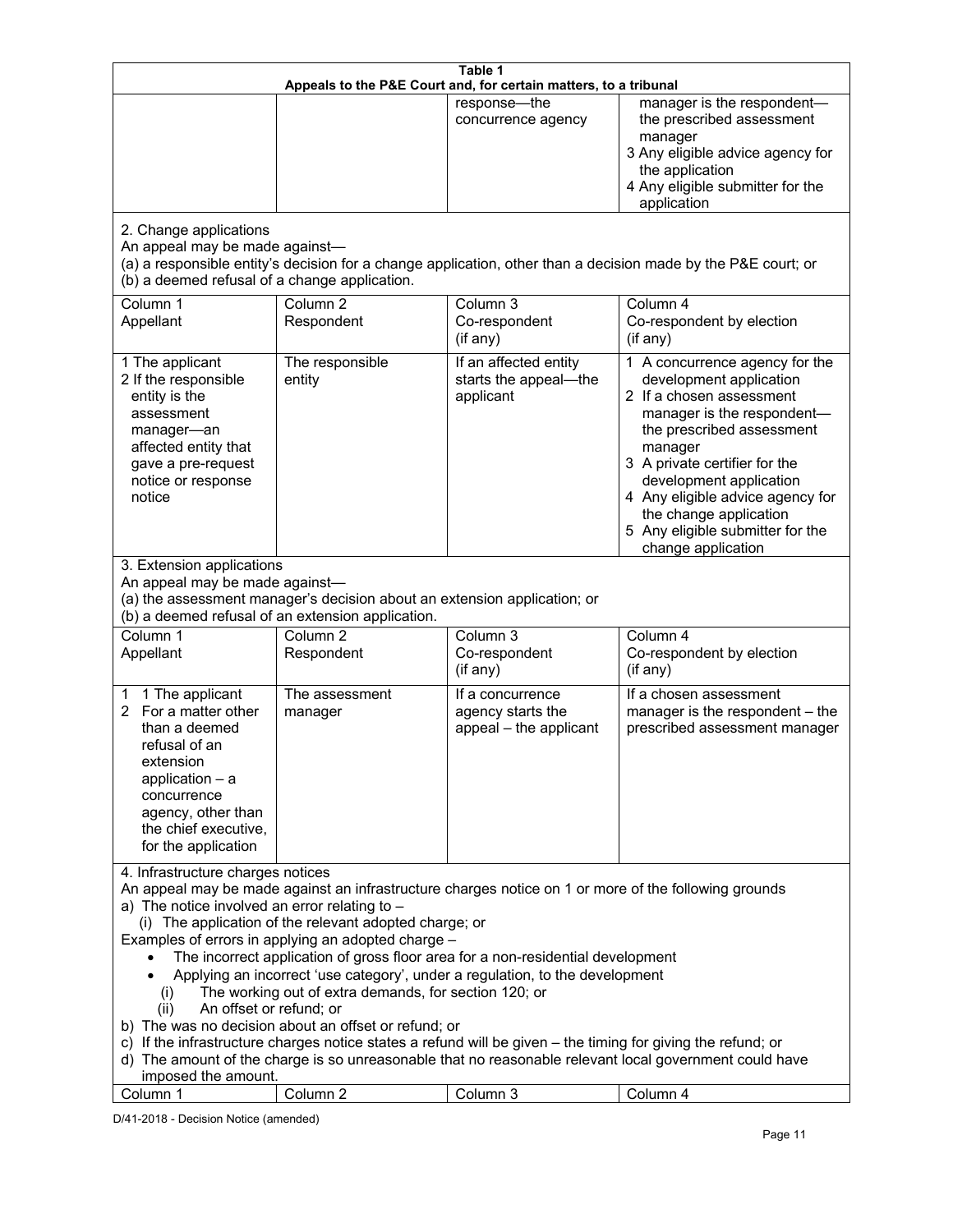| Table 1<br>Appeals to the P&E Court and, for certain matters, to a tribunal                                                                                                                                                                                                                                                                                                                                                                                                                                                                                                                                                                                                                                                                                                                                                                                          |                                   |                                                                 |                                                                                                                                                                                                                                                                                                                                                 |
|----------------------------------------------------------------------------------------------------------------------------------------------------------------------------------------------------------------------------------------------------------------------------------------------------------------------------------------------------------------------------------------------------------------------------------------------------------------------------------------------------------------------------------------------------------------------------------------------------------------------------------------------------------------------------------------------------------------------------------------------------------------------------------------------------------------------------------------------------------------------|-----------------------------------|-----------------------------------------------------------------|-------------------------------------------------------------------------------------------------------------------------------------------------------------------------------------------------------------------------------------------------------------------------------------------------------------------------------------------------|
|                                                                                                                                                                                                                                                                                                                                                                                                                                                                                                                                                                                                                                                                                                                                                                                                                                                                      |                                   | response-the<br>concurrence agency                              | manager is the respondent-<br>the prescribed assessment<br>manager<br>3 Any eligible advice agency for<br>the application<br>4 Any eligible submitter for the<br>application                                                                                                                                                                    |
| 2. Change applications<br>An appeal may be made against-<br>(a) a responsible entity's decision for a change application, other than a decision made by the P&E court; or<br>(b) a deemed refusal of a change application.                                                                                                                                                                                                                                                                                                                                                                                                                                                                                                                                                                                                                                           |                                   |                                                                 |                                                                                                                                                                                                                                                                                                                                                 |
| Column 1<br>Appellant                                                                                                                                                                                                                                                                                                                                                                                                                                                                                                                                                                                                                                                                                                                                                                                                                                                | Column <sub>2</sub><br>Respondent | Column 3<br>Co-respondent<br>(if any)                           | Column 4<br>Co-respondent by election<br>(if any)                                                                                                                                                                                                                                                                                               |
| 1 The applicant<br>2 If the responsible<br>entity is the<br>assessment<br>manager-an<br>affected entity that<br>gave a pre-request<br>notice or response<br>notice                                                                                                                                                                                                                                                                                                                                                                                                                                                                                                                                                                                                                                                                                                   | The responsible<br>entity         | If an affected entity<br>starts the appeal-the<br>applicant     | 1 A concurrence agency for the<br>development application<br>2 If a chosen assessment<br>manager is the respondent-<br>the prescribed assessment<br>manager<br>3 A private certifier for the<br>development application<br>4 Any eligible advice agency for<br>the change application<br>5 Any eligible submitter for the<br>change application |
| 3. Extension applications<br>An appeal may be made against-<br>(a) the assessment manager's decision about an extension application; or<br>(b) a deemed refusal of an extension application.                                                                                                                                                                                                                                                                                                                                                                                                                                                                                                                                                                                                                                                                         |                                   |                                                                 |                                                                                                                                                                                                                                                                                                                                                 |
| Column 1<br>Appellant                                                                                                                                                                                                                                                                                                                                                                                                                                                                                                                                                                                                                                                                                                                                                                                                                                                | Column <sub>2</sub><br>Respondent | Column 3<br>Co-respondent<br>(if any)                           | Column 4<br>Co-respondent by election<br>(if any)                                                                                                                                                                                                                                                                                               |
| 1 The applicant<br>1<br>2 For a matter other<br>than a deemed<br>refusal of an<br>extension<br>application $-$ a<br>concurrence<br>agency, other than<br>the chief executive,<br>for the application                                                                                                                                                                                                                                                                                                                                                                                                                                                                                                                                                                                                                                                                 | The assessment<br>manager         | If a concurrence<br>agency starts the<br>appeal - the applicant | If a chosen assessment<br>manager is the respondent - the<br>prescribed assessment manager                                                                                                                                                                                                                                                      |
| 4. Infrastructure charges notices<br>An appeal may be made against an infrastructure charges notice on 1 or more of the following grounds<br>a) The notice involved an error relating to $-$<br>(i) The application of the relevant adopted charge; or<br>Examples of errors in applying an adopted charge -<br>The incorrect application of gross floor area for a non-residential development<br>Applying an incorrect 'use category', under a regulation, to the development<br>The working out of extra demands, for section 120; or<br>(1)<br>An offset or refund; or<br>(ii)<br>b) The was no decision about an offset or refund; or<br>c) If the infrastructure charges notice states a refund will be given - the timing for giving the refund; or<br>d) The amount of the charge is so unreasonable that no reasonable relevant local government could have |                                   |                                                                 |                                                                                                                                                                                                                                                                                                                                                 |
| imposed the amount.<br>Column 1                                                                                                                                                                                                                                                                                                                                                                                                                                                                                                                                                                                                                                                                                                                                                                                                                                      | Column <sub>2</sub>               | Column 3                                                        | Column 4                                                                                                                                                                                                                                                                                                                                        |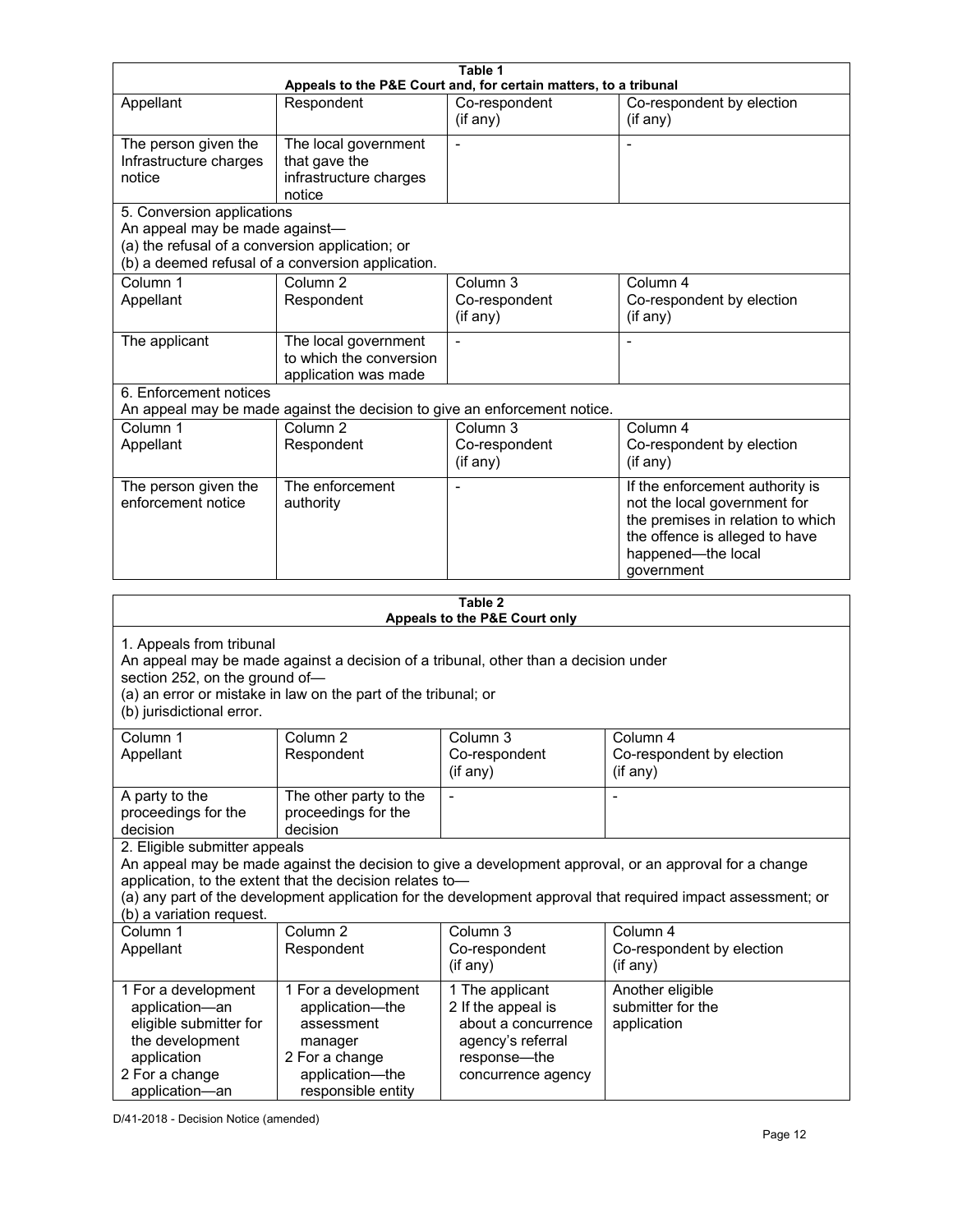|                                                                                                                                                                                                                                                  |                                                                           | Table 1                                 |                                                                                                                                                                                                                        |  |
|--------------------------------------------------------------------------------------------------------------------------------------------------------------------------------------------------------------------------------------------------|---------------------------------------------------------------------------|-----------------------------------------|------------------------------------------------------------------------------------------------------------------------------------------------------------------------------------------------------------------------|--|
| Appeals to the P&E Court and, for certain matters, to a tribunal                                                                                                                                                                                 |                                                                           |                                         |                                                                                                                                                                                                                        |  |
| Appellant                                                                                                                                                                                                                                        | Respondent                                                                | Co-respondent<br>(if any)               | Co-respondent by election<br>(if any)                                                                                                                                                                                  |  |
| The person given the<br>Infrastructure charges<br>notice                                                                                                                                                                                         | The local government<br>that gave the<br>infrastructure charges<br>notice | $\blacksquare$                          |                                                                                                                                                                                                                        |  |
| 5. Conversion applications                                                                                                                                                                                                                       |                                                                           |                                         |                                                                                                                                                                                                                        |  |
| An appeal may be made against-<br>(a) the refusal of a conversion application; or<br>(b) a deemed refusal of a conversion application.                                                                                                           |                                                                           |                                         |                                                                                                                                                                                                                        |  |
| Column <sub>1</sub><br>Appellant                                                                                                                                                                                                                 | Column <sub>2</sub><br>Respondent                                         | Column $3$<br>Co-respondent<br>(if any) | Column 4<br>Co-respondent by election<br>(if any)                                                                                                                                                                      |  |
| The applicant                                                                                                                                                                                                                                    | The local government<br>to which the conversion<br>application was made   |                                         | -                                                                                                                                                                                                                      |  |
| 6. Enforcement notices                                                                                                                                                                                                                           | An appeal may be made against the decision to give an enforcement notice. |                                         |                                                                                                                                                                                                                        |  |
| Column <sub>1</sub>                                                                                                                                                                                                                              | Column <sub>2</sub>                                                       | Column 3                                | Column 4                                                                                                                                                                                                               |  |
| Appellant                                                                                                                                                                                                                                        | Respondent                                                                | Co-respondent<br>(if any)               | Co-respondent by election<br>(if any)                                                                                                                                                                                  |  |
| The person given the<br>enforcement notice                                                                                                                                                                                                       | The enforcement<br>authority                                              |                                         | If the enforcement authority is<br>not the local government for<br>the premises in relation to which<br>the offence is alleged to have<br>happened-the local<br>government                                             |  |
| Table 2<br>Appeals to the P&E Court only                                                                                                                                                                                                         |                                                                           |                                         |                                                                                                                                                                                                                        |  |
| 1. Appeals from tribunal<br>An appeal may be made against a decision of a tribunal, other than a decision under<br>section 252, on the ground of-<br>(a) an error or mistake in law on the part of the tribunal; or<br>(b) jurisdictional error. |                                                                           |                                         |                                                                                                                                                                                                                        |  |
|                                                                                                                                                                                                                                                  |                                                                           |                                         |                                                                                                                                                                                                                        |  |
| Column 1                                                                                                                                                                                                                                         | Column <sub>2</sub>                                                       | Column 3                                | Column 4                                                                                                                                                                                                               |  |
| Appellant                                                                                                                                                                                                                                        | Respondent                                                                | Co-respondent<br>(if any)               | Co-respondent by election<br>(i f any)                                                                                                                                                                                 |  |
| A party to the<br>proceedings for the<br>decision                                                                                                                                                                                                | The other party to the<br>proceedings for the<br>decision                 |                                         |                                                                                                                                                                                                                        |  |
| 2. Eligible submitter appeals<br>(b) a variation request.                                                                                                                                                                                        | application, to the extent that the decision relates to-                  |                                         | An appeal may be made against the decision to give a development approval, or an approval for a change<br>(a) any part of the development application for the development approval that required impact assessment; or |  |
| Column 1<br>Appellant                                                                                                                                                                                                                            | Column <sub>2</sub><br>Respondent                                         | Column 3<br>Co-respondent<br>(if any)   | Column 4<br>Co-respondent by election<br>(if any)                                                                                                                                                                      |  |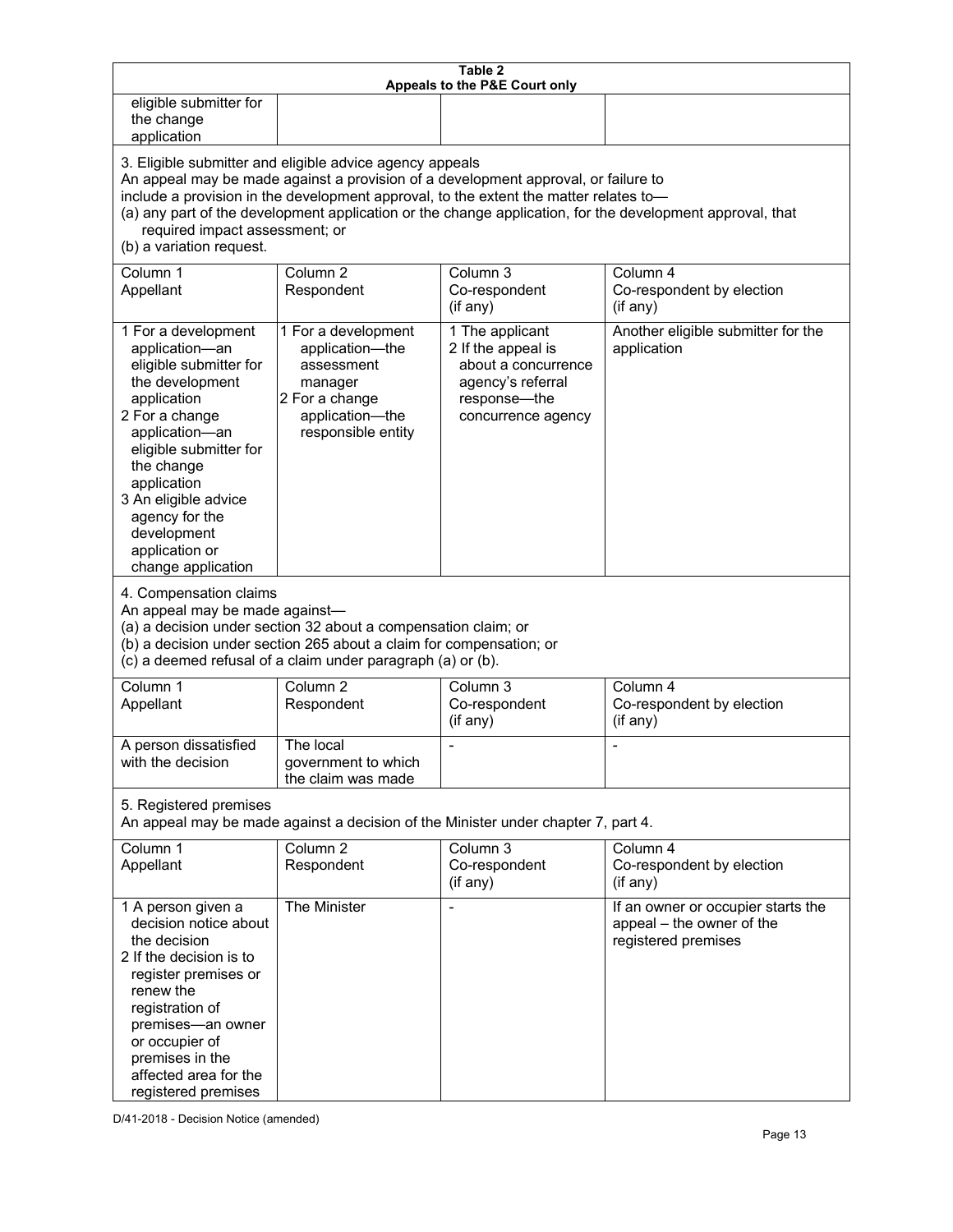| Table 2<br>Appeals to the P&E Court only                                                                                                                                                                                                                                                                                                                                                                           |                                                                                                                                                                                                      |                                                                                                                         |                                                                                        |
|--------------------------------------------------------------------------------------------------------------------------------------------------------------------------------------------------------------------------------------------------------------------------------------------------------------------------------------------------------------------------------------------------------------------|------------------------------------------------------------------------------------------------------------------------------------------------------------------------------------------------------|-------------------------------------------------------------------------------------------------------------------------|----------------------------------------------------------------------------------------|
| eligible submitter for<br>the change<br>application                                                                                                                                                                                                                                                                                                                                                                |                                                                                                                                                                                                      |                                                                                                                         |                                                                                        |
| 3. Eligible submitter and eligible advice agency appeals<br>An appeal may be made against a provision of a development approval, or failure to<br>include a provision in the development approval, to the extent the matter relates to-<br>(a) any part of the development application or the change application, for the development approval, that<br>required impact assessment; or<br>(b) a variation request. |                                                                                                                                                                                                      |                                                                                                                         |                                                                                        |
| Column 1<br>Appellant                                                                                                                                                                                                                                                                                                                                                                                              | Column <sub>2</sub><br>Respondent                                                                                                                                                                    | Column 3<br>Co-respondent<br>(if any)                                                                                   | Column 4<br>Co-respondent by election<br>(if any)                                      |
| 1 For a development<br>application-an<br>eligible submitter for<br>the development<br>application<br>2 For a change<br>application-an<br>eligible submitter for<br>the change<br>application<br>3 An eligible advice<br>agency for the<br>development<br>application or<br>change application<br>4. Compensation claims<br>An appeal may be made against-                                                          | 1 For a development<br>application-the<br>assessment<br>manager<br>2 For a change<br>application-the<br>responsible entity                                                                           | 1 The applicant<br>2 If the appeal is<br>about a concurrence<br>agency's referral<br>response-the<br>concurrence agency | Another eligible submitter for the<br>application                                      |
|                                                                                                                                                                                                                                                                                                                                                                                                                    | (a) a decision under section 32 about a compensation claim; or<br>(b) a decision under section 265 about a claim for compensation; or<br>(c) a deemed refusal of a claim under paragraph (a) or (b). |                                                                                                                         |                                                                                        |
| Column 1<br>Appellant                                                                                                                                                                                                                                                                                                                                                                                              | Column <sub>2</sub><br>Respondent                                                                                                                                                                    | Column 3<br>Co-respondent<br>(if any)                                                                                   | Column 4<br>Co-respondent by election<br>(if any)                                      |
| A person dissatisfied<br>with the decision                                                                                                                                                                                                                                                                                                                                                                         | The local<br>government to which<br>the claim was made                                                                                                                                               |                                                                                                                         |                                                                                        |
| 5. Registered premises<br>An appeal may be made against a decision of the Minister under chapter 7, part 4.                                                                                                                                                                                                                                                                                                        |                                                                                                                                                                                                      |                                                                                                                         |                                                                                        |
| Column 1<br>Appellant                                                                                                                                                                                                                                                                                                                                                                                              | Column <sub>2</sub><br>Respondent                                                                                                                                                                    | Column 3<br>Co-respondent<br>(if any)                                                                                   | Column 4<br>Co-respondent by election<br>(if any)                                      |
| 1 A person given a<br>decision notice about<br>the decision<br>2 If the decision is to<br>register premises or<br>renew the<br>registration of<br>premises-an owner<br>or occupier of<br>premises in the<br>affected area for the<br>registered premises                                                                                                                                                           | The Minister                                                                                                                                                                                         | $\overline{\phantom{a}}$                                                                                                | If an owner or occupier starts the<br>appeal - the owner of the<br>registered premises |